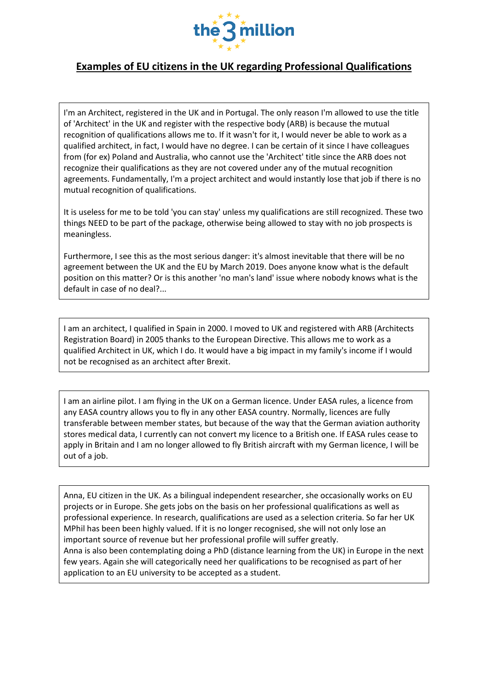

## **Examples of EU citizens in the UK regarding Professional Qualifications**

I'm an Architect, registered in the UK and in Portugal. The only reason I'm allowed to use the title of 'Architect' in the UK and register with the respective body (ARB) is because the mutual recognition of qualifications allows me to. If it wasn't for it, I would never be able to work as a qualified architect, in fact, I would have no degree. I can be certain of it since I have colleagues from (for ex) Poland and Australia, who cannot use the 'Architect' title since the ARB does not recognize their qualifications as they are not covered under any of the mutual recognition agreements. Fundamentally, I'm a project architect and would instantly lose that job if there is no mutual recognition of qualifications.

It is useless for me to be told 'you can stay' unless my qualifications are still recognized. These two things NEED to be part of the package, otherwise being allowed to stay with no job prospects is meaningless.

Furthermore, I see this as the most serious danger: it's almost inevitable that there will be no agreement between the UK and the EU by March 2019. Does anyone know what is the default position on this matter? Or is this another 'no man's land' issue where nobody knows what is the default in case of no deal?...

I am an architect, I qualified in Spain in 2000. I moved to UK and registered with ARB (Architects Registration Board) in 2005 thanks to the European Directive. This allows me to work as a qualified Architect in UK, which I do. It would have a big impact in my family's income if I would not be recognised as an architect after Brexit.

I am an airline pilot. I am flying in the UK on a German licence. Under EASA rules, a licence from any EASA country allows you to fly in any other EASA country. Normally, licences are fully transferable between member states, but because of the way that the German aviation authority stores medical data, I currently can not convert my licence to a British one. If EASA rules cease to apply in Britain and I am no longer allowed to fly British aircraft with my German licence, I will be out of a job.

Anna, EU citizen in the UK. As a bilingual independent researcher, she occasionally works on EU projects or in Europe. She gets jobs on the basis on her professional qualifications as well as professional experience. In research, qualifications are used as a selection criteria. So far her UK MPhil has been been highly valued. If it is no longer recognised, she will not only lose an important source of revenue but her professional profile will suffer greatly. Anna is also been contemplating doing a PhD (distance learning from the UK) in Europe in the next few years. Again she will categorically need her qualifications to be recognised as part of her application to an EU university to be accepted as a student.